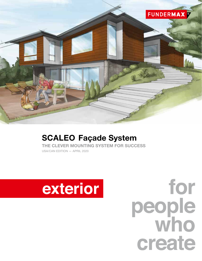

# SCALEO Façade System

THE CLEVER MOUNTING SYSTEM FOR SUCCESS USA/CAN EDITION — APRIL 2020

# exterior

for people<br>who create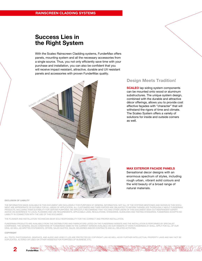## Success Lies in the Right System

With the Scaleo Rainscreen Cladding systems, FunderMax offers panels, mounting system and all the necessary accessories from a single source. Thus, you not only efficiently save time with your purchase and installation, you can also be confident that you will receive impact resistant, attractive, durable and UV resistant panels and accessories with proven FunderMax quality.



## Design Meets Tradition!

**SCALEO** lap siding system components can be mounted onto wood or aluminum substructures. The unique system design, combined with the durable and attractive décor offerings, allows you to provide cost effective façades with "character" that will withstand the rigors of time and climate. The Scaleo System offers a variety of solutions for inside and outside corners as well.

#### MAX EXTERIOR FACADE PANELS

Sensational decor designs with an enormous spectrum of styles, including rough urban, vibrant solid colours and the wild beauty of a broad range of natural materials.

#### EXCLUSION OF LIABILITY

THE INFORMATION MADE AVAILABLE IN THIS DOCUMENT ARE EXCLUSIVELY FOR PURPOSES OF GENERAL INFORMATION. NOT ALL OF THE SYSTEMS MENTIONED AND SHOWN IN THIS DOCU-MENT ARE APPROPRIATE OR SUITABLE FOR ALL AREAS OF APPLICATION. ALL CUSTOMERS AND THIRD PARTIES ARE OBLIGATED TO INFORM THEMSELVES THOROUGHLY ABOUT FUNDERMAX PRODUCTS, INCLUDING THEIR SUITABILITY FOR CERTAIN PURPOSES. WE EXPLICITLY RECOMMEND THAT YOU AND OTHER USERS OF THIS DOCUMENT SEEK OUT INDEPENDENT EXPERT ADVICE ON ADHERENCE TO LOCAL PLANNING AND USE REQUIREMENTS, APPLICABLE LAWS, REGULATIONS, STANDARDS, GUIDELINES AND TESTING STANDARDS. FUNDERMAX ACCEPTS NO LIABILITY IN CONNECTION WITH THE USE OF THIS DOCUMENT.

THE PLANNER AND INSTALLATION TECHNICIAN BEAR SOLE RESPONSIBILITY FOR THE CORRECT AND PROPER INSTALLATION.

FUNDERMAX PRODUCTS ARE AVAILABLE FROM THE DISTRIBUTORS AND FABRICATORS LISTED ON THE FUNDERMAX WEBSITE AND THE INSTALLATION IS PERFORMED BY SPECIALIST COMPANIES. THE GENERAL SALES CONDITIONS OF FUNDERMAX GMBH IN THE CURRENT VERSION AVAILABLE ON OUR WEBSITE AT WWW.FUNDERMAX.AT SHALL APPLY FOR ALL OF OUR ORAL AS WELL AS WRITTEN STATEMENTS, OFFERS, SALES QUOTES, SALES, DELIVERIES AND/OR CONTRACTS AND ALL RELATED ACTIVITIES.

#### COPYRIGHT

2

Exterior  $\sqrt{\ }$ **FunderMax** 

ALL TEXTS, PHOTOGRAPHS, GRAPHICS, AND AUDIO AND VIDEO FI LES ARE PROTECTED BY COPYRIGHT LAW AS WELL AS BY FURTHER INTELLECTUAL PROPERTY LAWS AND MAY NOT BE DUPLICATED, ALTERED OR USED ON OTHER WEBSITES FOR PURPOSES OF BUSINESS, ETC.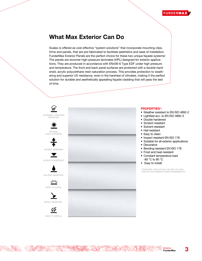

## What Max Exterior Can Do

Scaleo is offered as cost effective "system solutions" that incorporate mounting clips, trims and panels, that are pre-fabricated to facilitate aesthetics and ease of installation. FunderMax Exterior Panels are the perfect choice for these two unique façade systems! The panels are duromer high-pressure laminates (HPL) designed for exterior applications. They are produced in accordance with EN436-6 Type EDF under high pressure and temperature. The front and back panel surfaces are protected with a double-hardened, acrylic polyurethane resin saturation process. This provides protection to weathering and superior UV resistance, even in the harshest of climates, making it the perfect solution for durable and aesthetically appealing façade cladding that will pass the test of time.



**ROSA LANDER PORTA** 

NY YOKARA

3

Exterior **FunderMax**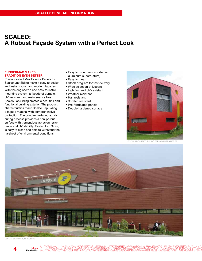## SCALEO: A Robust Façade System with a Perfect Look

#### FUNDERMAX MAKES TRADITION EVEN BETTER

Pre-fabricated Max Exterior Panels for Scaleo Lap Siding make it easy to design and install robust and modern facades. With the engineered and easy to install mounting system, a façade of durable, UV resistant, and maintenance free Scaleo Lap Siding creates a beautiful and functional building exterior. The product characteristics make Scaleo Lap Siding a façade material with comprehensive protection. The double-hardened acrylic curing process provides a non-porous surface with tremendous abrasion resistance and UV stability. Scaleo Lap Siding is easy to clean and able to withstand the harshest of environmental conditions.

- Easy to mount (on wooden or aluminum substructure)
- Easy to clean
- Stock program for fast delivery
- Wide selection of Decors
- Lightfast and UV-resistant
- Weather resistant
- Hail resistant
- Scratch resistant
- Pre-fabricated panels
- Double hardened surface



DESIGN: ARCHITEKTURBÜRO FREI & WURZRAINER ZT



DESIGN: SERAU ARCHITECTURE

Exterior V **FunderMax**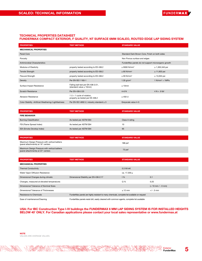

#### TECHNICAL PROPERTIES DATASHEET

### FUNDERMAX COMPACT EXTERIOR, F QUALITY, NT SURFACE 6MM SCALEO, ROUTED EDGE LAP SIDING SYSTEM

| <b>PROPERTIES</b>                                     | <b>TEST METHOD</b>                                                 | <b>STANDARD VALUE</b>                               |                                 |
|-------------------------------------------------------|--------------------------------------------------------------------|-----------------------------------------------------|---------------------------------|
| <b>MECHANICAL PROPERTIES</b>                          |                                                                    |                                                     |                                 |
| Panel Core                                            |                                                                    | Standard Dark Brown Core, Finish on both sides      |                                 |
| Porosity                                              |                                                                    | Non Porous surface and edges                        |                                 |
| Antimicrobial Characteristics                         |                                                                    | FunderMax panels do not support microorganic growth |                                 |
| Modulus of Elasticity                                 | property tested according to ES 438.2                              | $\geq$ 9000 N/mm <sup>2</sup>                       | $\geq 1,305,340$ psi            |
| <b>Tensile Strength</b>                               | property tested according to ES 438.2                              | $\geq$ 80 N/mm <sup>2</sup>                         | $\geq 11,603$ psi               |
| Flexural Strength                                     | property tested according to ES 438.2                              | $\geq 90$ N/mm <sup>2</sup>                         | $\geq$ 13,053 psi               |
| Density                                               | Per EN ISO 1183-1                                                  | 1.35 $g/cm3$                                        | $1$ N/mm <sup>2</sup> = $1$ MPa |
| Surface Impact Resistance                             | Falling ball test per EN 438-2:21,<br>(standard value $\leq$ 10mm) | $\leq 10$ mm                                        |                                 |
| <b>Scratch Resistance</b>                             | Per EN 438-2:25                                                    | $4-6N$                                              | $4 N = .9$ lbf                  |
| <b>Abrasion Resistance</b>                            | $1 U = 1$ cycle of rotation,<br>property as tested per ES 438.2    | $\geq 450$ U                                        |                                 |
| Color Stability - Artificial Weathering/Lightfastness | Per EN ISO 4892-2, industry standard $\geq 3$                      | Greyscale value 4-5                                 |                                 |
|                                                       |                                                                    |                                                     |                                 |
|                                                       |                                                                    |                                                     |                                 |

| <b>PROPERTIES</b>             | <b>TEST METHOD</b>     | <b>STANDARD VALUE</b> |
|-------------------------------|------------------------|-----------------------|
| <b>FIRE BEHAVIOR</b>          |                        |                       |
| <b>Burning Classification</b> | As tested per ASTM E84 | Class A rating        |
| FSI (Flame Spread Index)      | As tested per ASTM E84 | 10                    |
| SDI (Smoke Develop Index)     | As tested per ASTM E84 | 95                    |

| <b>PROPERTIES</b>                                                                   | <b>TEST METHOD</b> | <b>STANDARD VALUE</b> |
|-------------------------------------------------------------------------------------|--------------------|-----------------------|
| Maximum Design Pressure with vertical battens<br>(panel attachments) at 16" centers |                    | $188$ psf             |
| Maximum Design Pressure with vertical battens<br>(panel attachments) at 24" centers |                    | 73 psf                |

| <b>PROPERTIES</b>                          | <b>TEST METHOD</b>                                                                          | <b>STANDARD VALUE</b> |                        |
|--------------------------------------------|---------------------------------------------------------------------------------------------|-----------------------|------------------------|
| <b>MECHANICAL PROPERTIES</b>               |                                                                                             |                       |                        |
| <b>Thermal Conductivity</b>                |                                                                                             | 0.3 W/mK              |                        |
| Water Vapor Diffusion Resistance           |                                                                                             | ca. 17.200 µ          |                        |
| Dimensional Changes during climatic        | Dimensional Stability per EN 438-2:17                                                       | 1%                    | 0.1                    |
| Changes, measured at elevated temperatures |                                                                                             | Q %                   | 0.25                   |
| Dimensional Tolerance of Nominal Sizes     |                                                                                             |                       | $(+ 10$ mm $/ - 0$ mm) |
| Dimensional Tolerance of Thicknesses       |                                                                                             | $\leq 12$ mm          | $+/- .5$ mm            |
| Resistance to Chemicals                    | FunderMax panels are highly resistant to many chemicals, complete list available on request |                       |                        |
| Ease of maintenance/Cleaning               | FunderMax panels resist dirt, easily cleaned with common agents, complete list available    |                       |                        |

#### USA: For IBC Construction Type I-IV buildings the FUNDERMAX 6 MM LAP SIDING SYSTEM IS FOR INSTALLED HEIGHTS BELOW 40' ONLY. For Canadian applications please contact your local sales representative or www.fundermax.at

A BASICA

AVIDE

Exterior FunderMax

**SHARARTE**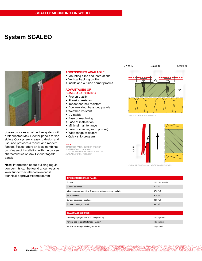## System SCALEO



Scaleo provides an attractive system with prefabricated Max Exterior panels for lap siding. Our system is easy to design and use, and provides a robust and modern façade. Scaleo offers an ideal combination of ease of installation with the proven characteristics of Max Exterior façade panels.

Note: Information about building regulation permits can be found at our website www.fundermax.at/en/downloads/ technical-approvals/compact.html

Exterior<br><mark>FunderMax</mark>

#### ACCESSORIES AVAILABLE

- Mounting clips and instructions
- Vertical backing profile
- Inside and outside corner profiles

#### ADVANTAGES OF SCALEO LAP SIDING

- Proven quality
- Abrasion resistant
- Impact and hail resistant • Double-sided, balanced panels
- Weather resistant
- 
- UV stable
- Ease of machining • Ease of installation
- 
- Minimal maintenance
- Ease of cleaning (non porous)
- Wide range of decors
- Quick ship program

#### NOTE

STANDARD PANEL SIZE FOR EASE OF INSTALLATION: 110" x 9.84" CUSTOM HEIGHTS BETWEEN 6" AND 12" AVAILABLE UPON REQUEST



VERTICAL BACKING PROFILE



OVERLAP DIMENSION LAP-SIDING ELEMENTS

| <b>INFORMATION SCALEO PANEL</b>                               |                  |
|---------------------------------------------------------------|------------------|
| Format                                                        | 110.24 x 9.84 in |
| Surface coverage                                              | 8.74 in          |
| Minimum order quantity = 1 package = 5 panels (or a multiple) | 37.67 sf         |
| Panel thickness                                               | $0.24$ in        |
| Surface coverage / package                                    | 33.37 sf         |
| Surface coverage / panel                                      | 6.67 sf          |

| <b>SCALEO ACCESSORIES</b>                    |                |
|----------------------------------------------|----------------|
| Mounting clips (approx. 10-12 clips/10 sf)   | 100 clips/unit |
| Vertical backing profile length $= 9.69$ in  | 10 pcs/unit    |
| Vertical backing profile length $= 98.43$ in | 20 pcs/unit    |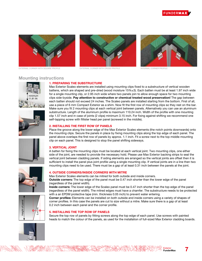



EXTERNAL CORNER WITH SQUARE PROFILE EXTERNAL CORNER WITH CROSS PROFILE EXTERNAL CORNER PROFILE



self-tapping screw with fillister head per panel (screwed in the middle).



### Mounting instructions











(regardless of the panel width).

1. PREPARING THE SUBSTRUCTURE

Place the groove along the lower edge of the Max Exterior Scaleo elements (the notch points downwards) onto the mounting clips. Secure the panels in place by fixing mounting clips along the top edge of each panel. The panel above overlaps the first row of panels by approx. 1.1 inch. Fit a screw next to the top middle mounting clip on each panel. This is designed to stop the panel shifting sideways.

Max Exterior Scaleo elements are installed using mounting clips fixed to a substructure of vertical wooden battens, which are shaped and pre-dried (wood moisture 15%±3). Each batten must be at least 1.97 inch wide for a single mounting clip, or 2.95 inch wide where two panels join to allow enough space for two mounting clips side-byside. Pay attention to constructive or chemical treated wood preservation! The gap between each batten should not exceed 24 inches. The Scaleo panels are installed starting from the bottom. First of all, use a piece of 6 mm Compact Exterior as a shim. Now fit the first row of mounting clips so they rest on the bar. Make sure you fit 2 mounting clips at each vertical joint between panels. Alternatively you can use an aluminum substructure. Length of the aluminum profile is maximum 110.24 inch. Width of the profile with one mounting clip 1.57 inch and in case of joints (2 clips) minimum 3.15 inch. For fixing against shifting we recommend one

#### 3. VERTICAL JOINT

A batten for fixing the mounting clips must be located at each vertical joint. Two mounting clips, one either side of the joint, are needed to provide the necessary hold. Please use Max Exterior backing strips to seal the vertical joint between cladding panels. If siding elements are arranged so the vertical joints are offset then it is sufficient to install the panel plus joint profile using a single mounting clip. If vertical joints are in a line then two mounting clips need to be used. There must be a gap of at least 0.31 inch between the panels at the joint.





(regardless of the panel width). The mitred edges must have a chamfer. The substructure needs to be protected with a an EPDM protective tape (min. thickness 0.05 inch) to prevent water entering. Corner profiles: Elements can be installed on both outside and inside corners using a variety of shapes of corner profiles. In this case the panels are cut to size without a mitre. Make sure there is a gap of at least 0.2 inch between each panel and the corner profile.

Outside corners: The top edge of the panel must be 0.47 inch shorter than the lower edge of the panel

Inside corners: The lower edge of the Scaleo panel must be 0.47 inch shorter than the top edge of the panel

#### 5. INSTALLING THE TOP ROW OF PANELS

4. OUTSIDE CORNERS/INSIDE CORNERS WITH MITRE

Max Exterior Scaleo elements can be mitred for both outside and inside corners.

Secure the top row of panels by fitting screws along the top edge of each panel. Use screws with painted heads to match the colour of the panels, as used for the installation of full-sized Max Exterior cladding boards.





Exterior FunderMax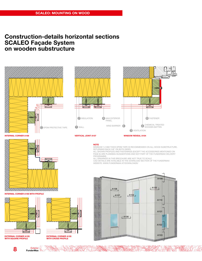## Construction-details horizontal sections SCALEO Façade System on wooden substructure



**NATIONAL PROPERTY** 

EXTERNAL CORNER A105 WITH SQUARE PROFILE

8



WITH CROSS PROFILE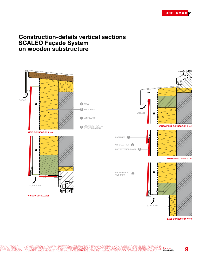

## Construction-details vertical sections SCALEO Façade System on wooden substructure



WWW

Exterior FunderMax

**ANY KRA** 

BASE CONNECTION A103

HORIZONTAL JOINT A110

9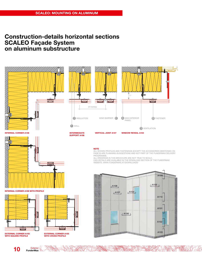## Construction-details horizontal sections SCALEO Façade System on aluminum substructure

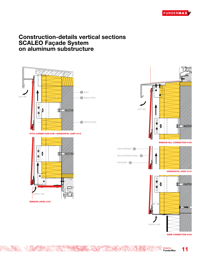

## Construction-details vertical sections SCALEO Façade System on aluminum substructure



AVIDE



SUPPLY AIR

BASE CONNECTION A103